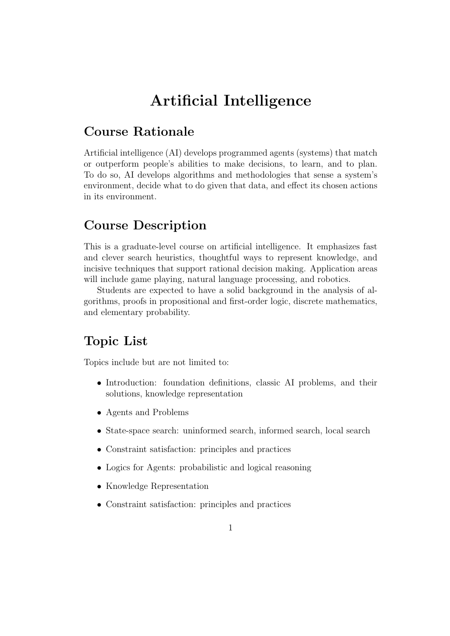# Artificial Intelligence

## Course Rationale

Artificial intelligence (AI) develops programmed agents (systems) that match or outperform people's abilities to make decisions, to learn, and to plan. To do so, AI develops algorithms and methodologies that sense a system's environment, decide what to do given that data, and effect its chosen actions in its environment.

#### Course Description

This is a graduate-level course on artificial intelligence. It emphasizes fast and clever search heuristics, thoughtful ways to represent knowledge, and incisive techniques that support rational decision making. Application areas will include game playing, natural language processing, and robotics.

Students are expected to have a solid background in the analysis of algorithms, proofs in propositional and first-order logic, discrete mathematics, and elementary probability.

#### Topic List

Topics include but are not limited to:

- Introduction: foundation definitions, classic AI problems, and their solutions, knowledge representation
- Agents and Problems
- State-space search: uninformed search, informed search, local search
- Constraint satisfaction: principles and practices
- Logics for Agents: probabilistic and logical reasoning
- Knowledge Representation
- Constraint satisfaction: principles and practices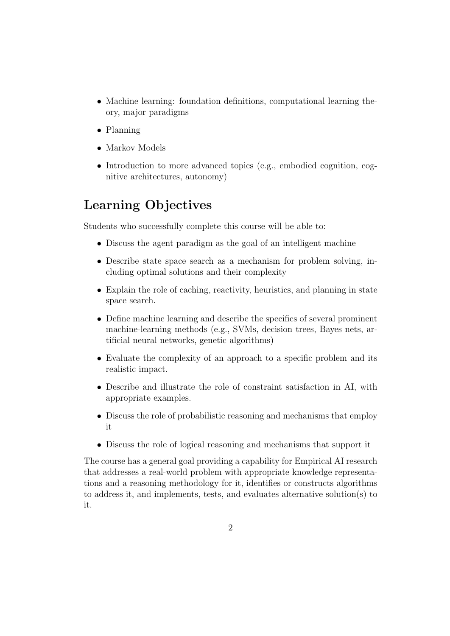- Machine learning: foundation definitions, computational learning theory, major paradigms
- Planning
- Markov Models
- Introduction to more advanced topics (e.g., embodied cognition, cognitive architectures, autonomy)

### Learning Objectives

Students who successfully complete this course will be able to:

- Discuss the agent paradigm as the goal of an intelligent machine
- Describe state space search as a mechanism for problem solving, including optimal solutions and their complexity
- Explain the role of caching, reactivity, heuristics, and planning in state space search.
- Define machine learning and describe the specifics of several prominent machine-learning methods (e.g., SVMs, decision trees, Bayes nets, artificial neural networks, genetic algorithms)
- Evaluate the complexity of an approach to a specific problem and its realistic impact.
- Describe and illustrate the role of constraint satisfaction in AI, with appropriate examples.
- Discuss the role of probabilistic reasoning and mechanisms that employ it
- Discuss the role of logical reasoning and mechanisms that support it

The course has a general goal providing a capability for Empirical AI research that addresses a real-world problem with appropriate knowledge representations and a reasoning methodology for it, identifies or constructs algorithms to address it, and implements, tests, and evaluates alternative solution(s) to it.